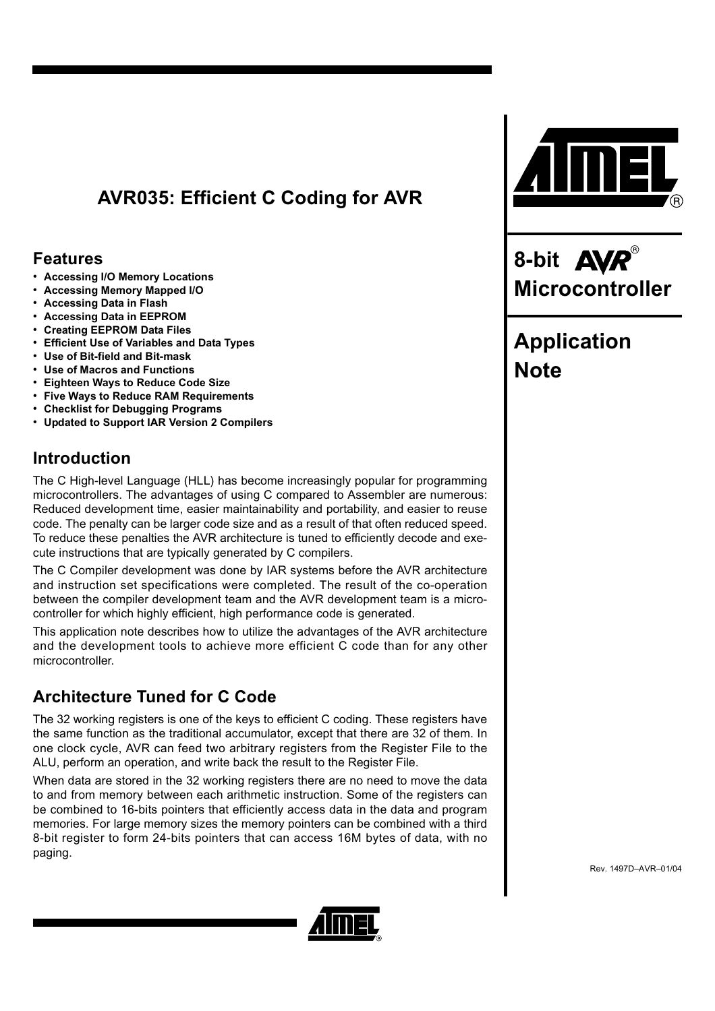# **AVR035: Efficient C Coding for AVR**

## **Features**

- **Accessing I/O Memory Locations**
- **Accessing Memory Mapped I/O**
- **Accessing Data in Flash**
- **Accessing Data in EEPROM**
- **Creating EEPROM Data Files**
- **Efficient Use of Variables and Data Types**
- **Use of Bit-field and Bit-mask**
- **Use of Macros and Functions**
- **Eighteen Ways to Reduce Code Size**
- **Five Ways to Reduce RAM Requirements**
- **Checklist for Debugging Programs**
- **Updated to Support IAR Version 2 Compilers**

## **Introduction**

The C High-level Language (HLL) has become increasingly popular for programming microcontrollers. The advantages of using C compared to Assembler are numerous: Reduced development time, easier maintainability and portability, and easier to reuse code. The penalty can be larger code size and as a result of that often reduced speed. To reduce these penalties the AVR architecture is tuned to efficiently decode and execute instructions that are typically generated by C compilers.

The C Compiler development was done by IAR systems before the AVR architecture and instruction set specifications were completed. The result of the co-operation between the compiler development team and the AVR development team is a microcontroller for which highly efficient, high performance code is generated.

This application note describes how to utilize the advantages of the AVR architecture and the development tools to achieve more efficient C code than for any other microcontroller.

## **Architecture Tuned for C Code**

The 32 working registers is one of the keys to efficient C coding. These registers have the same function as the traditional accumulator, except that there are 32 of them. In one clock cycle, AVR can feed two arbitrary registers from the Register File to the ALU, perform an operation, and write back the result to the Register File.

When data are stored in the 32 working registers there are no need to move the data to and from memory between each arithmetic instruction. Some of the registers can be combined to 16-bits pointers that efficiently access data in the data and program memories. For large memory sizes the memory pointers can be combined with a third 8-bit register to form 24-bits pointers that can access 16M bytes of data, with no paging.







# **Application Note**

Rev. 1497D–AVR–01/04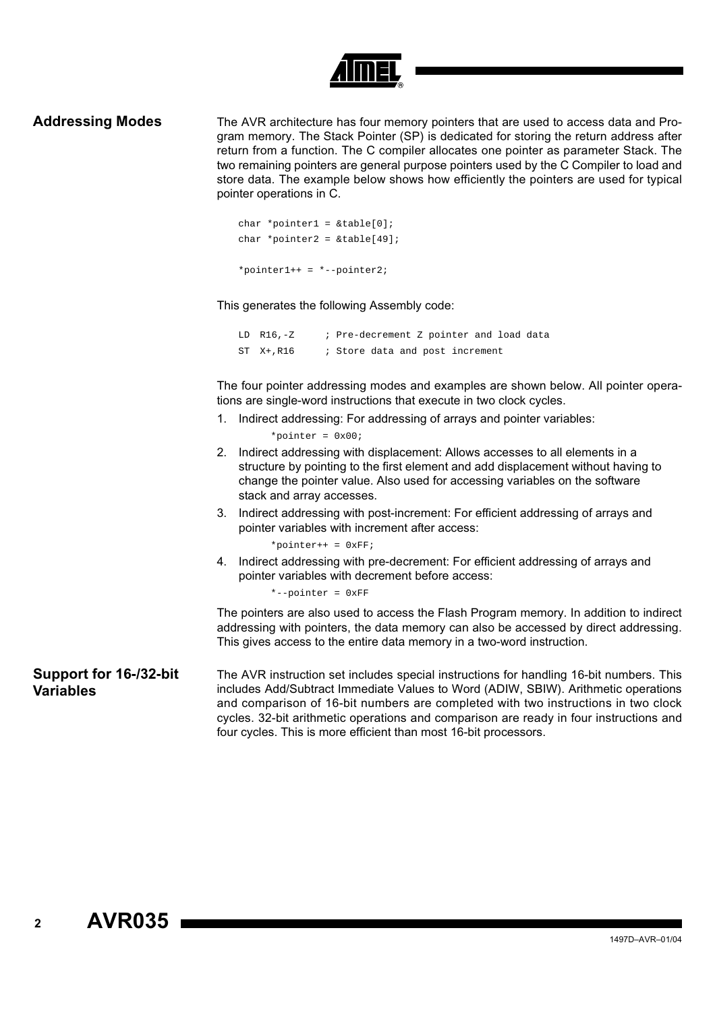

**Addressing Modes** The AVR architecture has four memory pointers that are used to access data and Program memory. The Stack Pointer (SP) is dedicated for storing the return address after return from a function. The C compiler allocates one pointer as parameter Stack. The two remaining pointers are general purpose pointers used by the C Compiler to load and store data. The example below shows how efficiently the pointers are used for typical pointer operations in C.

```
char *pointer1 = \&table[0];char *pointer2 = \&table[49];
*pointer1++ = *--pointer2;
```
This generates the following Assembly code:

LD R16,-Z ; Pre-decrement Z pointer and load data ST X+, R16 ; Store data and post increment

The four pointer addressing modes and examples are shown below. All pointer operations are single-word instructions that execute in two clock cycles.

1. Indirect addressing: For addressing of arrays and pointer variables:

\*pointer =  $0x00$ ;

- 2. Indirect addressing with displacement: Allows accesses to all elements in a structure by pointing to the first element and add displacement without having to change the pointer value. Also used for accessing variables on the software stack and array accesses.
- 3. Indirect addressing with post-increment: For efficient addressing of arrays and pointer variables with increment after access:

\*pointer++ =  $0xFF$ ;

4. Indirect addressing with pre-decrement: For efficient addressing of arrays and pointer variables with decrement before access:

\*--pointer = 0xFF

The pointers are also used to access the Flash Program memory. In addition to indirect addressing with pointers, the data memory can also be accessed by direct addressing. This gives access to the entire data memory in a two-word instruction.

**Support for 16-/32-bit Variables** The AVR instruction set includes special instructions for handling 16-bit numbers. This includes Add/Subtract Immediate Values to Word (ADIW, SBIW). Arithmetic operations and comparison of 16-bit numbers are completed with two instructions in two clock cycles. 32-bit arithmetic operations and comparison are ready in four instructions and four cycles. This is more efficient than most 16-bit processors.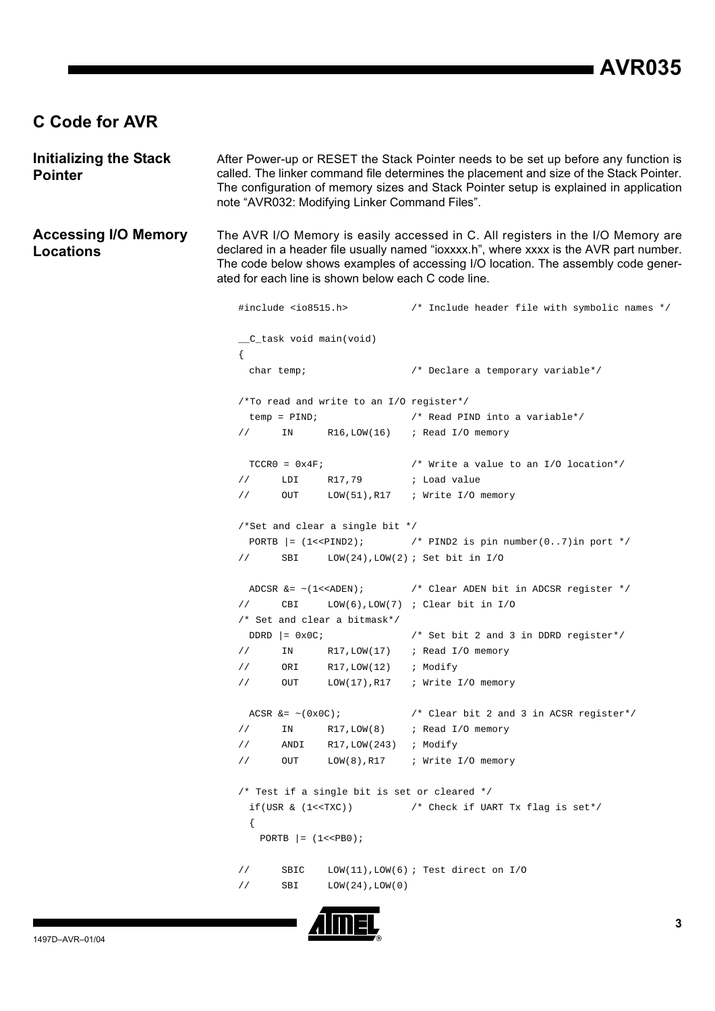## **C Code for AVR**

**Initializing the Stack Pointer** After Power-up or RESET the Stack Pointer needs to be set up before any function is called. The linker command file determines the placement and size of the Stack Pointer. The configuration of memory sizes and Stack Pointer setup is explained in application note "AVR032: Modifying Linker Command Files".

**Accessing I/O Memory Locations** The AVR I/O Memory is easily accessed in C. All registers in the I/O Memory are declared in a header file usually named "ioxxxx.h", where xxxx is the AVR part number. The code below shows examples of accessing I/O location. The assembly code generated for each line is shown below each C code line.

```
#include <io8515.h> /* Include header file with symbolic names */
__C_task void main(void)
{
 char temp; /* Declare a temporary variable*/
/*To read and write to an I/O register*/
 temp = PIND; /* Read PIND into a variable*/
// IN R16,LOW(16) ; Read I/O memory
 TCCR0 = 0x4F; \qquad \qquad /* Write a value to an I/O location*/
// LDI R17,79 ; Load value
// OUT LOW(51),R17 ; Write I/O memory
/*Set and clear a single bit */
 PORTB = (1 \times \text{PIND2}); / * PIND2 is pin number(0..7) in port *// SBI LOW(24),LOW(2) ; Set bit in I/O
 ADCSR &= \sim(1\lt\lt\text{ADEN}); /* Clear ADEN bit in ADCSR register */
// CBI LOW(6),LOW(7) ; Clear bit in I/O
/* Set and clear a bitmask*/
 DDRD | = 0x0C; \qquad \qquad /* Set bit 2 and 3 in DDRD register*/
// IN R17,LOW(17) ; Read I/O memory
// ORI R17,LOW(12) ; Modify
// OUT LOW(17),R17 ; Write I/O memory
 ACSR &= \sim (0x0C); / * Clear bit 2 and 3 in ACSR register*/
// IN R17, LOW(8) ; Read I/O memory
// ANDI R17,LOW(243) ; Modify 
// OUT LOW(8),R17 ; Write I/O memory
/* Test if a single bit is set or cleared */
 if(USR & (1<<TXC)) /* Check if UART Tx flag is set*/
 {
   PORTB | = (1 \lt PBB0);// SBIC LOW(11),LOW(6) ; Test direct on I/O
// SBI LOW(24),LOW(0)
```
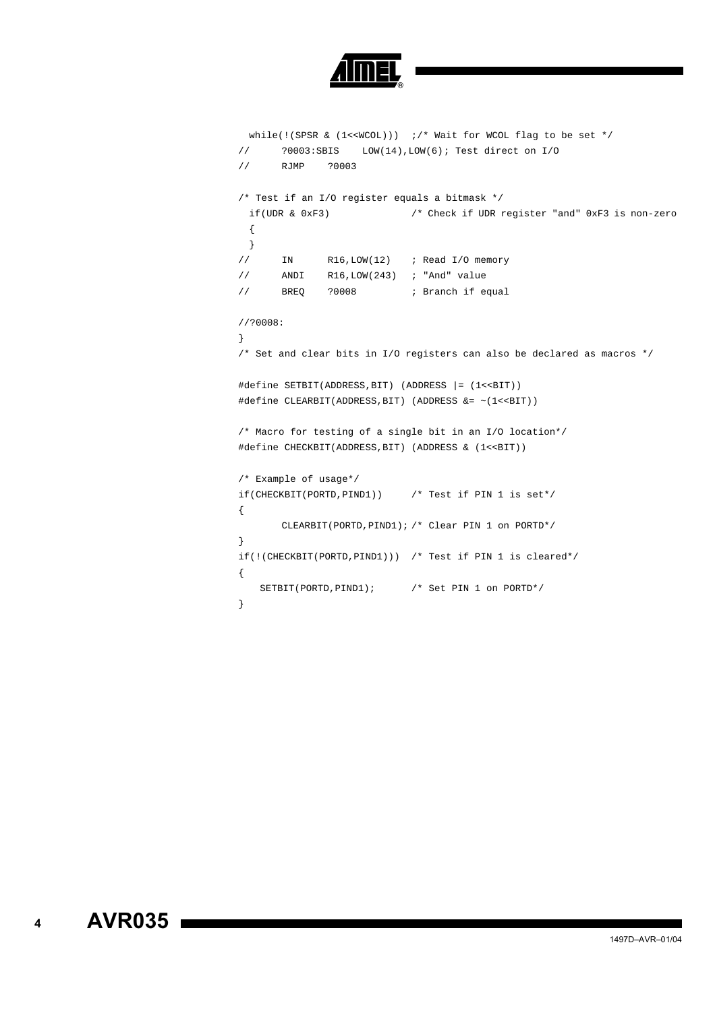

```
while(!(SPSR & (l<<WCOL))) ;/* Wait for WCOL flag to be set */
// ?0003:SBIS LOW(14),LOW(6); Test direct on I/O
// RJMP ?0003
/* Test if an I/O register equals a bitmask */
 if(UDR & 0xF3) /* Check if UDR register "and" 0xF3 is non-zero 
 {
 }
// IN R16,LOW(12) ; Read I/O memory
// ANDI R16,LOW(243) ; "And" value
// BREQ ?0008 ; Branch if equal
//?0008:
}
/* Set and clear bits in I/O registers can also be declared as macros */
#define SETBIT(ADDRESS,BIT) (ADDRESS |= (1<<BIT))
#define CLEARBIT(ADDRESS,BIT) (ADDRESS &= ~(1<<BIT))
/* Macro for testing of a single bit in an I/O location*/
#define CHECKBIT(ADDRESS,BIT) (ADDRESS & (1<<BIT))
/* Example of usage*/
if(CHECKBIT(PORTD,PIND1)) /* Test if PIN 1 is set*/
{
      CLEARBIT(PORTD,PIND1); /* Clear PIN 1 on PORTD*/
}
if(!(CHECKBIT(PORTD,PIND1))) /* Test if PIN 1 is cleared*/
{
  SETBIT(PORTD,PIND1); /* Set PIN 1 on PORTD*/
}
```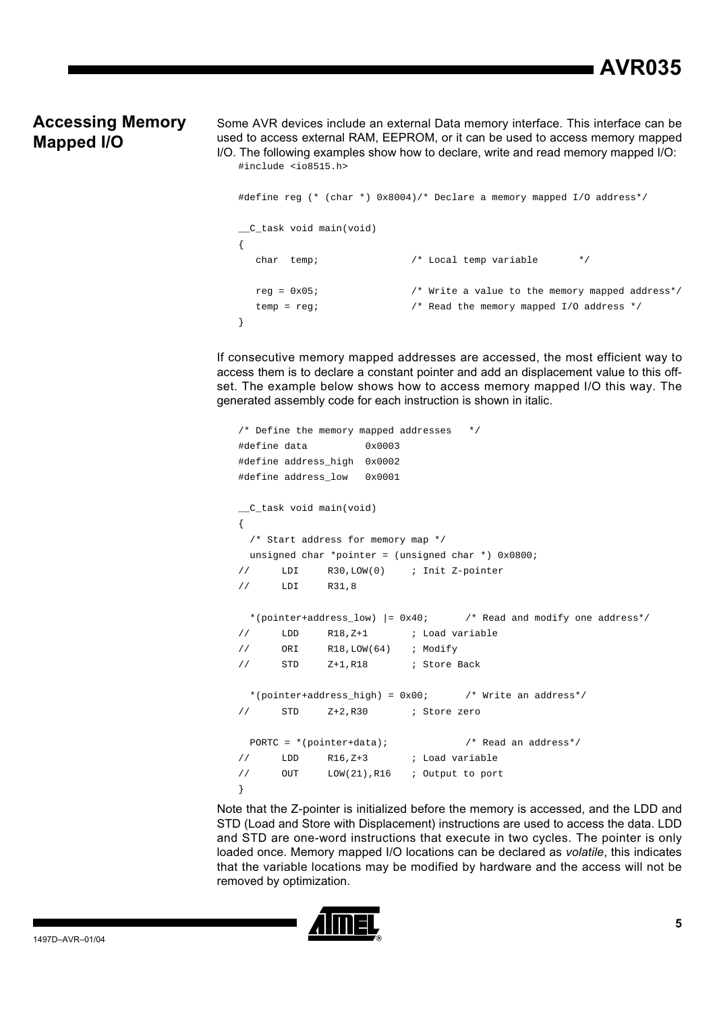# **AVR035**

## **Accessing Memory Mapped I/O**

Some AVR devices include an external Data memory interface. This interface can be used to access external RAM, EEPROM, or it can be used to access memory mapped I/O. The following examples show how to declare, write and read memory mapped I/O: #include <io8515.h>

```
#define reg (* (char *) 0x8004)/* Declare a memory mapped I/O address*/
__C_task void main(void)
{ 
   char temp; /* Local temp variable */
   reg = 0x05; /* Write a value to the memory mapped address*/
  temp = reg; \frac{1}{2} /* Read the memory mapped I/O address */
}
```
If consecutive memory mapped addresses are accessed, the most efficient way to access them is to declare a constant pointer and add an displacement value to this offset. The example below shows how to access memory mapped I/O this way. The generated assembly code for each instruction is shown in italic.

```
/* Define the memory mapped addresses */
#define data 0x0003
#define address_high 0x0002
#define address_low 0x0001 
__C_task void main(void)
{
  /* Start address for memory map */
 unsigned char *pointer = (unsigned char *) 0x0800;
// LDI R30,LOW(0) ; Init Z-pointer
// LDI R31,8
 *(pointer+address_low) |= 0x40; \qquad /* Read and modify one address*/
// LDD R18, Z+1 ; Load variable
// ORI R18,LOW(64) ; Modify
// STD Z+1, R18 ; Store Back
 *(pointer+address_high) = 0x00; /* Write an address*/
// STD Z+2,R30 ; Store zero
  PORTC = *(pointer+data); /* Read an address*/
// LDD R16,Z+3 ; Load variable
// OUT LOW(21),R16 ; Output to port
}
```
Note that the Z-pointer is initialized before the memory is accessed, and the LDD and STD (Load and Store with Displacement) instructions are used to access the data. LDD and STD are one-word instructions that execute in two cycles. The pointer is only loaded once. Memory mapped I/O locations can be declared as *volatile*, this indicates that the variable locations may be modified by hardware and the access will not be removed by optimization.

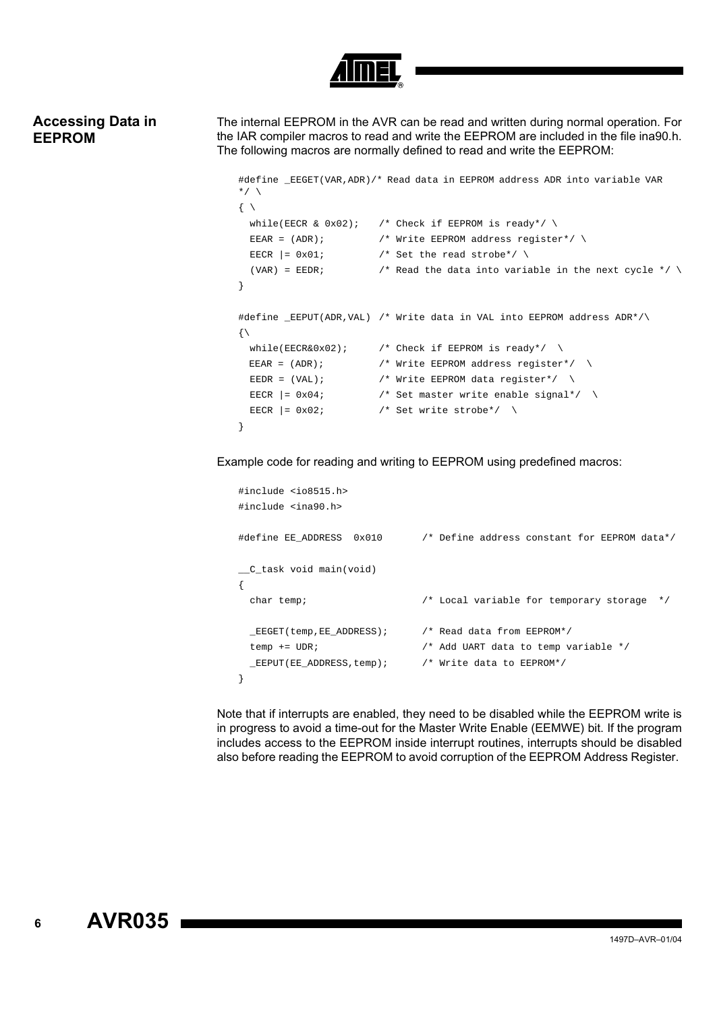

## **Accessing Data in EEPROM**

The internal EEPROM in the AVR can be read and written during normal operation. For the IAR compiler macros to read and write the EEPROM are included in the file ina90.h. The following macros are normally defined to read and write the EEPROM:

```
#define EEGET(VAR, ADR)/* Read data in EEPROM address ADR into variable VAR
*/\sqrt{ }\left\{ \begin{array}{c} \lambda \end{array} \right\}while(EECR & 0x02); /* Check if EEPROM is ready*/ \
 EEAR = (ADR); \overline{P} /* Write EEPROM address register*/ \
 EECR | = 0x01; / * Set the read strobe*/ \
 (VAR) = EEDR; \sqrt{*} Read the data into variable in the next cycle */ \setminus}
#define _EEPUT(ADR,VAL) /* Write data in VAL into EEPROM address ADR*/\
\{\setminuswhile(EECR&0x02); \angle /* Check if EEPROM is ready*/ \angleEEAR = (ADR); /* Write EEPROM address register*/ \
 EEDR = (VAL); /* Write EEPROM data register*/ \
 EECR | = 0x04; /* Set master write enable signal*/ \
 EECR | = 0x02; /* Set write strobe*/ \
}
```
Example code for reading and writing to EEPROM using predefined macros:

```
#include <io8515.h>
#include <ina90.h>
#define EE_ADDRESS 0x010 /* Define address constant for EEPROM data*/
__C_task void main(void)
{
  char temp; /* Local variable for temporary storage */
  _EEGET(temp,EE_ADDRESS); /* Read data from EEPROM*/
  temp += UDR; /* Add UART data to temp variable */
  _EEPUT(EE_ADDRESS,temp); /* Write data to EEPROM*/
}
```
Note that if interrupts are enabled, they need to be disabled while the EEPROM write is in progress to avoid a time-out for the Master Write Enable (EEMWE) bit. If the program includes access to the EEPROM inside interrupt routines, interrupts should be disabled also before reading the EEPROM to avoid corruption of the EEPROM Address Register.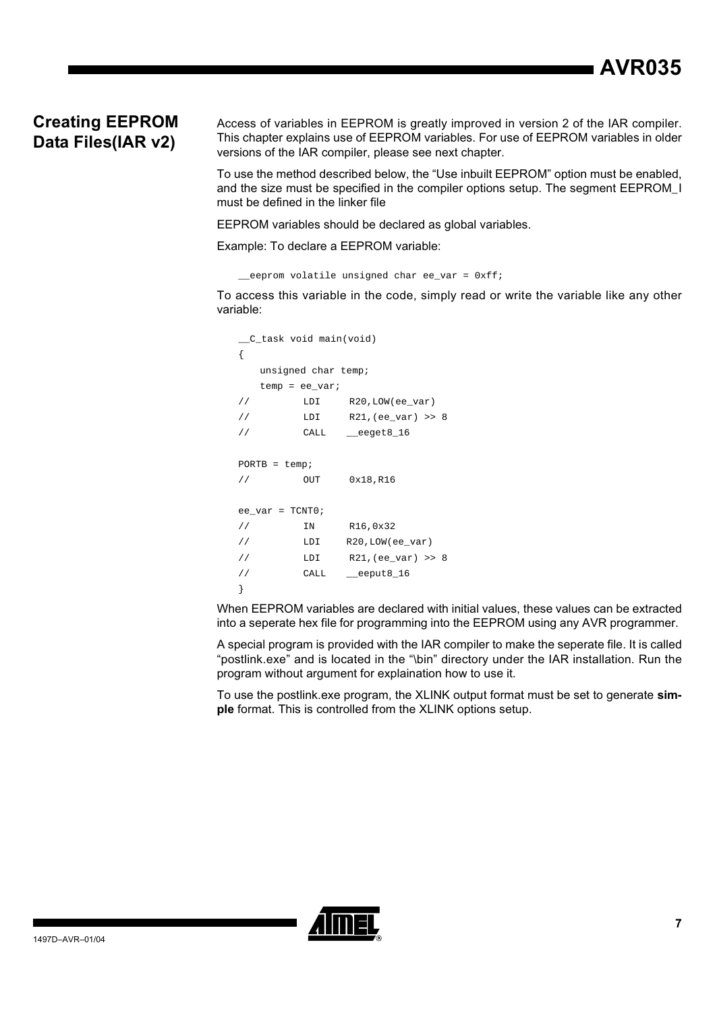## **Creating EEPROM Data Files(IAR v2)**

Access of variables in EEPROM is greatly improved in version 2 of the IAR compiler. This chapter explains use of EEPROM variables. For use of EEPROM variables in older versions of the IAR compiler, please see next chapter.

To use the method described below, the "Use inbuilt EEPROM" option must be enabled, and the size must be specified in the compiler options setup. The segment EEPROM\_I must be defined in the linker file

EEPROM variables should be declared as global variables.

Example: To declare a EEPROM variable:

\_\_eeprom volatile unsigned char ee\_var = 0xff;

To access this variable in the code, simply read or write the variable like any other variable:

```
__C_task void main(void)
{
  unsigned char temp;
  temp = ee_var;
// LDI R20, LOW(ee var)
// LDI R21,(ee_var) >> 8
// CALL __eeget8_16
PORTB = temp;// OUT 0x18,R16
ee_{var} = TCNT0;// IN R16,0x32
// LDI R20, LOW(ee var)
// LDI R21,(ee_var) >> 8
// CALL __eeput8_16
}
```
When EEPROM variables are declared with initial values, these values can be extracted into a seperate hex file for programming into the EEPROM using any AVR programmer.

A special program is provided with the IAR compiler to make the seperate file. It is called "postlink.exe" and is located in the "\bin" directory under the IAR installation. Run the program without argument for explaination how to use it.

To use the postlink.exe program, the XLINK output format must be set to generate **simple** format. This is controlled from the XLINK options setup.

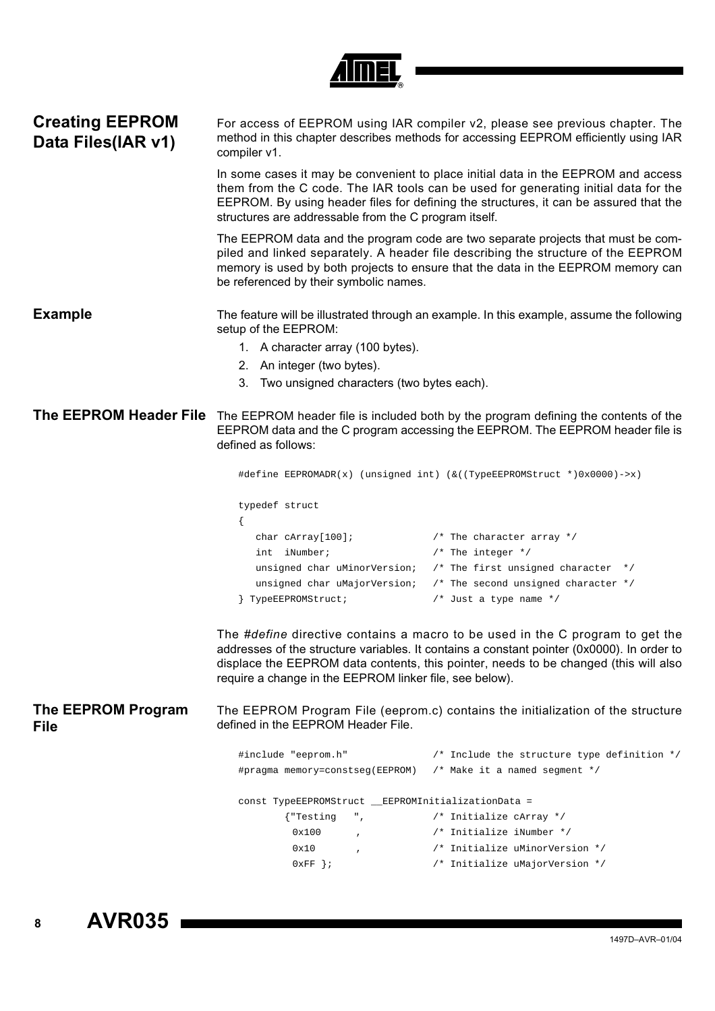| O |
|---|

| <b>Creating EEPROM</b><br>Data Files(IAR v1) | For access of EEPROM using IAR compiler v2, please see previous chapter. The<br>method in this chapter describes methods for accessing EEPROM efficiently using IAR<br>compiler v1.                                |                                                                                                                                                                                                                                                                     |  |  |
|----------------------------------------------|--------------------------------------------------------------------------------------------------------------------------------------------------------------------------------------------------------------------|---------------------------------------------------------------------------------------------------------------------------------------------------------------------------------------------------------------------------------------------------------------------|--|--|
|                                              | structures are addressable from the C program itself.                                                                                                                                                              | In some cases it may be convenient to place initial data in the EEPROM and access<br>them from the C code. The IAR tools can be used for generating initial data for the<br>EEPROM. By using header files for defining the structures, it can be assured that the   |  |  |
|                                              | be referenced by their symbolic names.                                                                                                                                                                             | The EEPROM data and the program code are two separate projects that must be com-<br>piled and linked separately. A header file describing the structure of the EEPROM<br>memory is used by both projects to ensure that the data in the EEPROM memory can           |  |  |
| <b>Example</b>                               | The feature will be illustrated through an example. In this example, assume the following<br>setup of the EEPROM:                                                                                                  |                                                                                                                                                                                                                                                                     |  |  |
|                                              | 1. A character array (100 bytes).                                                                                                                                                                                  |                                                                                                                                                                                                                                                                     |  |  |
|                                              |                                                                                                                                                                                                                    |                                                                                                                                                                                                                                                                     |  |  |
|                                              | 2. An integer (two bytes).                                                                                                                                                                                         |                                                                                                                                                                                                                                                                     |  |  |
|                                              | 3. Two unsigned characters (two bytes each).                                                                                                                                                                       |                                                                                                                                                                                                                                                                     |  |  |
|                                              | The EEPROM Header File The EEPROM header file is included both by the program defining the contents of the<br>EEPROM data and the C program accessing the EEPROM. The EEPROM header file is<br>defined as follows: |                                                                                                                                                                                                                                                                     |  |  |
|                                              |                                                                                                                                                                                                                    | #define EEPROMADR(x) (unsigned int) (&((TypeEEPROMStruct *)0x0000)->x)                                                                                                                                                                                              |  |  |
|                                              | typedef struct                                                                                                                                                                                                     |                                                                                                                                                                                                                                                                     |  |  |
|                                              |                                                                                                                                                                                                                    |                                                                                                                                                                                                                                                                     |  |  |
|                                              | char cArray[100];                                                                                                                                                                                                  | $/*$ The character array */                                                                                                                                                                                                                                         |  |  |
|                                              | int iNumber;                                                                                                                                                                                                       | $/*$ The integer */                                                                                                                                                                                                                                                 |  |  |
|                                              | unsigned char uMinorVersion;                                                                                                                                                                                       | $/*$ The first unsigned character $*/$                                                                                                                                                                                                                              |  |  |
|                                              | unsigned char uMajorVersion;                                                                                                                                                                                       | /* The second unsigned character $*/$                                                                                                                                                                                                                               |  |  |
|                                              | } TypeEEPROMStruct;                                                                                                                                                                                                | /* Just a type name $*/$                                                                                                                                                                                                                                            |  |  |
|                                              | require a change in the EEPROM linker file, see below).                                                                                                                                                            | The #define directive contains a macro to be used in the C program to get the<br>addresses of the structure variables. It contains a constant pointer (0x0000). In order to<br>displace the EEPROM data contents, this pointer, needs to be changed (this will also |  |  |
| The EEPROM Program<br>File                   | defined in the EEPROM Header File.                                                                                                                                                                                 | The EEPROM Program File (eeprom.c) contains the initialization of the structure                                                                                                                                                                                     |  |  |
|                                              | #include "eeprom.h"                                                                                                                                                                                                | /* Include the structure type definition */                                                                                                                                                                                                                         |  |  |
|                                              | #pragma memory=constseg(EEPROM)                                                                                                                                                                                    | /* Make it a named segment */                                                                                                                                                                                                                                       |  |  |
|                                              | const TypeEEPROMStruct __EEPROMInitializationData =                                                                                                                                                                |                                                                                                                                                                                                                                                                     |  |  |
|                                              | {"Testing<br>",                                                                                                                                                                                                    | /* Initialize cArray */                                                                                                                                                                                                                                             |  |  |
|                                              | 0x100                                                                                                                                                                                                              | /* Initialize iNumber */                                                                                                                                                                                                                                            |  |  |
|                                              | 0x10                                                                                                                                                                                                               | /* Initialize uMinorVersion */                                                                                                                                                                                                                                      |  |  |
|                                              | $0xFF$ } ;                                                                                                                                                                                                         | /* Initialize uMajorVersion */                                                                                                                                                                                                                                      |  |  |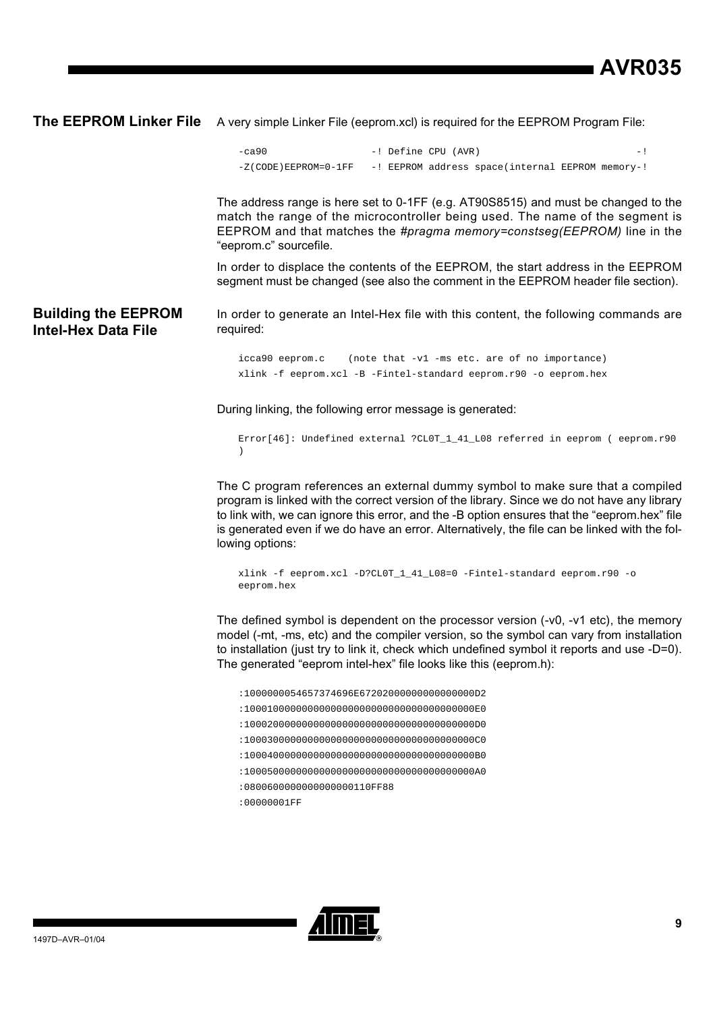**The EEPROM Linker File** A very simple Linker File (eeprom.xcl) is required for the EEPROM Program File:

```
-ca90 -! Define CPU (AVR) -!
-Z(CODE)EEPROM=0-1FF -! EEPROM address space(internal EEPROM memory-!
```
The address range is here set to 0-1FF (e.g. AT90S8515) and must be changed to the match the range of the microcontroller being used. The name of the segment is EEPROM and that matches the *#pragma memory=constseg(EEPROM)* line in the "eeprom.c" sourcefile.

In order to displace the contents of the EEPROM, the start address in the EEPROM segment must be changed (see also the comment in the EEPROM header file section).

**Building the EEPROM Intel-Hex Data File** In order to generate an Intel-Hex file with this content, the following commands are required:

> icca90 eeprom.c (note that -v1 -ms etc. are of no importance) xlink -f eeprom.xcl -B -Fintel-standard eeprom.r90 -o eeprom.hex

During linking, the following error message is generated:

Error[46]: Undefined external ?CL0T\_1\_41\_L08 referred in eeprom ( eeprom.r90  $\lambda$ 

The C program references an external dummy symbol to make sure that a compiled program is linked with the correct version of the library. Since we do not have any library to link with, we can ignore this error, and the -B option ensures that the "eeprom.hex" file is generated even if we do have an error. Alternatively, the file can be linked with the following options:

xlink -f eeprom.xcl -D?CL0T\_1\_41\_L08=0 -Fintel-standard eeprom.r90 -o eeprom.hex

The defined symbol is dependent on the processor version  $(-v0, -v1$  etc), the memory model (-mt, -ms, etc) and the compiler version, so the symbol can vary from installation to installation (just try to link it, check which undefined symbol it reports and use -D=0). The generated "eeprom intel-hex" file looks like this (eeprom.h):

:1000000054657374696E67202000000000000000D2 :1000100000000000000000000000000000000000E0 :1000200000000000000000000000000000000000D0 :1000300000000000000000000000000000000000C0 :1000400000000000000000000000000000000000B0 :1000500000000000000000000000000000000000A0 :0800600000000000000110FF88 :00000001FF

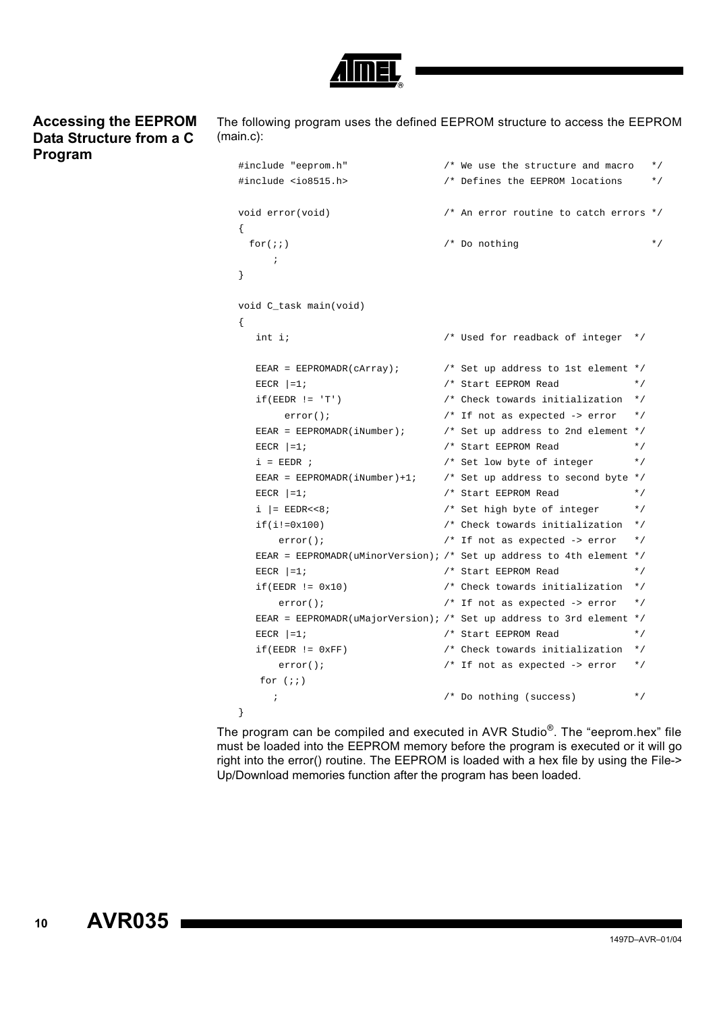

### **Accessing the EEPROM Data Structure from a C Program**

The following program uses the defined EEPROM structure to access the EEPROM (main.c):

```
#include "eeprom.h" /* We use the structure and macro */
#include <io8515.h> /* Defines the EEPROM locations */
void error(void) /* An error routine to catch errors */
{
 for(i) /* Do nothing */
     ;
}
void C_task main(void)
{
   int i; /* Used for readback of integer */
   EEAR = EEPROMADR(cArray); /* Set up address to 1st element */
  EECR |=1; \qquad \qquad /* Start EEPROM Read */
   if(EEDR != 'T') /* Check towards initialization */
      error(); \qquad \qquad /* If not as expected -> error */
  EEAR = EEPROMADR(iNumber); \frac{1}{2} /* Set up address to 2nd element */
  EECR |=1; * Start EEPROM Read *i = EEDR ; \hspace{1cm} /* Set low byte of integer \hspace{1cm} */
  EEAR = EEPROMADR(iNumber)+1; \qquad /* Set up address to second byte */
  EECR |=1; \qquad \qquad /* Start EEPROM Read */
  i | = EEDR << 8; \hspace{1cm} /* Set high byte of integer */
   if(i!=0x100) /* Check towards initialization */
     error(); /* If not as expected -> error */
   EEAR = EEPROMADR(uMinorVersion); /* Set up address to 4th element */
  EECR |=1; \qquad \qquad /* Start EEPROM Read */
   if(EEDR != 0x10) /* Check towards initialization */
     error(); \qquad \qquad /* If not as expected -> error */
   EEAR = EEPROMADR(uMajorVersion); /* Set up address to 3rd element */
  EECR |=1; \qquad \qquad /* Start EEPROM Read */
   if(EEDR != 0xFF) /* Check towards initialization */
     error(); \qquad \qquad /* If not as expected -> error */
  for (i) ; /* Do nothing (success) */
}
```
The program can be compiled and executed in AVR Studio®. The "eeprom.hex" file must be loaded into the EEPROM memory before the program is executed or it will go right into the error() routine. The EEPROM is loaded with a hex file by using the File-> Up/Download memories function after the program has been loaded.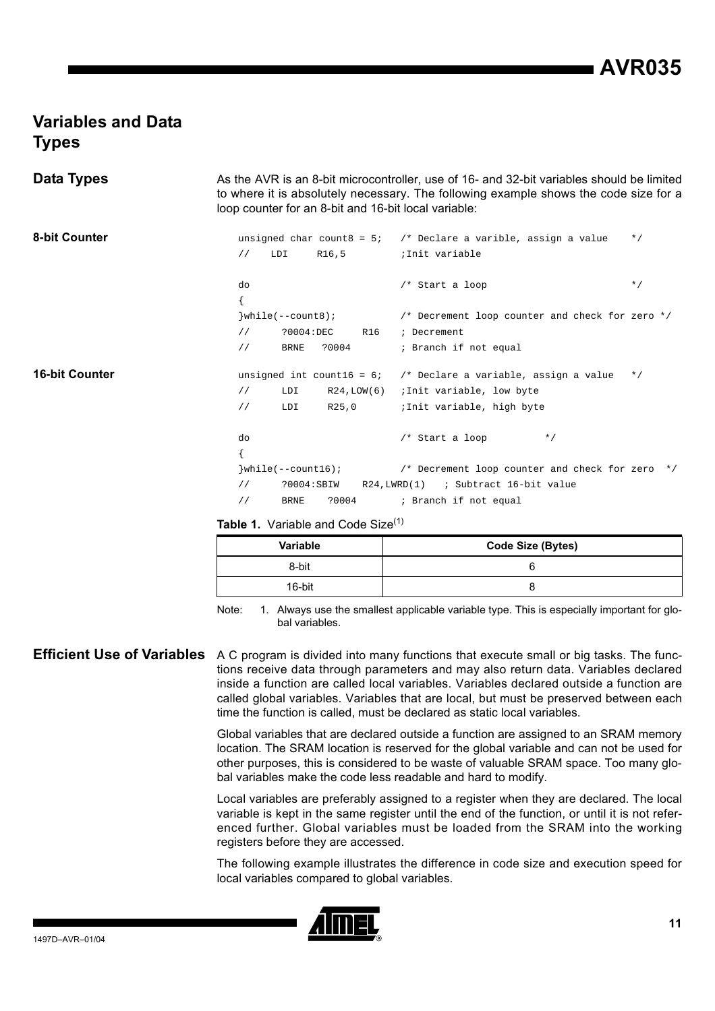## **Variables and Data Types**

| Data Types            |               |                        |                             | As the AVR is an 8-bit microcontroller, use of 16- and 32-bit variables should be limited<br>to where it is absolutely necessary. The following example shows the code size for a<br>loop counter for an 8-bit and 16-bit local variable: |           |
|-----------------------|---------------|------------------------|-----------------------------|-------------------------------------------------------------------------------------------------------------------------------------------------------------------------------------------------------------------------------------------|-----------|
| <b>8-bit Counter</b>  |               |                        |                             | unsigned char count $8 = 5$ ; /* Declare a varible, assign a value                                                                                                                                                                        | $*$ /     |
|                       | $\frac{1}{2}$ | LDI                    | R16,5                       | ;Init variable                                                                                                                                                                                                                            |           |
|                       | do            |                        |                             | /* Start a loop                                                                                                                                                                                                                           | $\star$ / |
|                       |               | $\}$ while(--count8);  |                             | /* Decrement loop counter and check for zero */                                                                                                                                                                                           |           |
|                       | $\frac{1}{2}$ | ?0004:DEC              | R16                         | ; Decrement                                                                                                                                                                                                                               |           |
|                       | $\frac{1}{2}$ | <b>BRNE</b>            | ?0004                       | ; Branch if not equal                                                                                                                                                                                                                     |           |
| <b>16-bit Counter</b> |               |                        | unsigned int count16 = $6i$ | /* Declare a variable, assign a value                                                                                                                                                                                                     | $\star$ / |
|                       | $\frac{1}{2}$ | LDI                    | R24, LOW(6)                 | ;Init variable, low byte                                                                                                                                                                                                                  |           |
|                       | $\frac{1}{2}$ | LDI                    | R25,0                       | ; Init variable, high byte                                                                                                                                                                                                                |           |
|                       | do            |                        |                             | /* Start a loop<br>$*$ /                                                                                                                                                                                                                  |           |
|                       |               |                        |                             |                                                                                                                                                                                                                                           |           |
|                       |               | $\}$ while(--count16); |                             | /* Decrement loop counter and check for zero */                                                                                                                                                                                           |           |
|                       | $\frac{1}{2}$ | ?0004:SBIW             |                             | $R24$ , $LWRD(1)$<br>; Subtract 16-bit value                                                                                                                                                                                              |           |
|                       | $\frac{1}{2}$ | <b>BRNE</b>            | ?0004                       | ; Branch if not equal                                                                                                                                                                                                                     |           |

Table 1. Variable and Code Size<sup>[\(1\)](#page-10-0)</sup>

| <b>Variable</b> | <b>Code Size (Bytes)</b> |
|-----------------|--------------------------|
| 8-bit           |                          |
| 16-bit          |                          |

<span id="page-10-0"></span>Note: 1. Always use the smallest applicable variable type. This is especially important for global variables.

**Efficient Use of Variables** A C program is divided into many functions that execute small or big tasks. The functions receive data through parameters and may also return data. Variables declared inside a function are called local variables. Variables declared outside a function are called global variables. Variables that are local, but must be preserved between each time the function is called, must be declared as static local variables.

> Global variables that are declared outside a function are assigned to an SRAM memory location. The SRAM location is reserved for the global variable and can not be used for other purposes, this is considered to be waste of valuable SRAM space. Too many global variables make the code less readable and hard to modify.

> Local variables are preferably assigned to a register when they are declared. The local variable is kept in the same register until the end of the function, or until it is not referenced further. Global variables must be loaded from the SRAM into the working registers before they are accessed.

> The following example illustrates the difference in code size and execution speed for local variables compared to global variables.

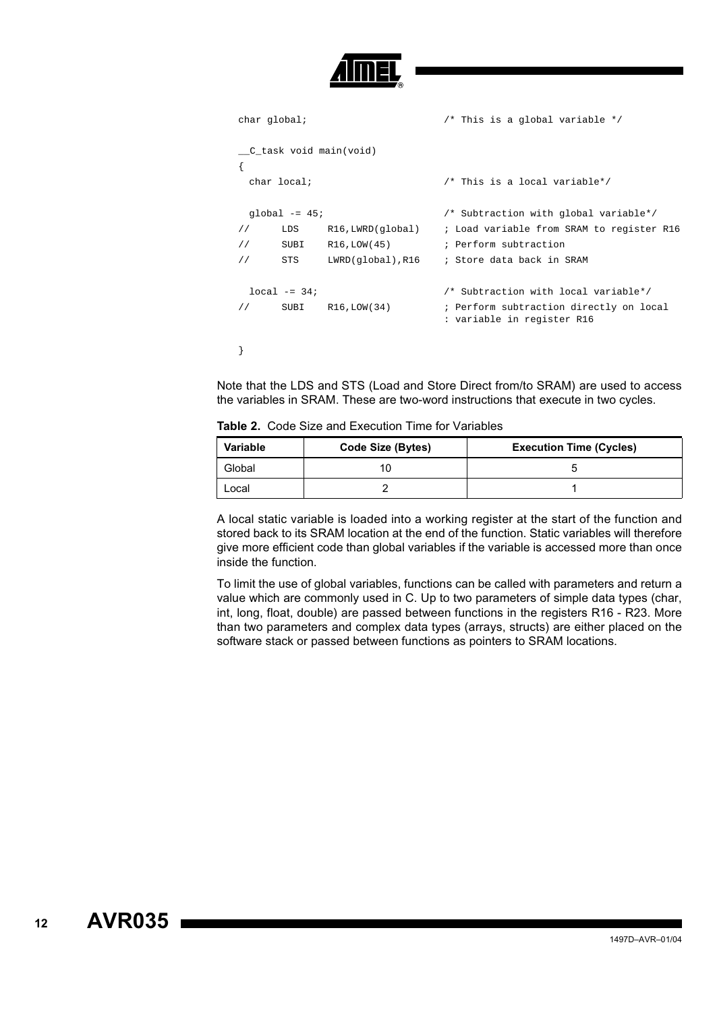```
char global; /* This is a global variable */
__C_task void main(void)
{
 char local; /* This is a local variable*/
 global -= 45; /* Subtraction with global variable*/
// LDS R16,LWRD(global) ; Load variable from SRAM to register R16
// SUBI R16,LOW(45) ; Perform subtraction
// STS LWRD(global),R16 ; Store data back in SRAM
 local -= 34; /* Subtraction with local variable*/ 
// SUBI R16,LOW(34) ; Perform subtraction directly on local
                           : variable in register R16
}
```
Note that the LDS and STS (Load and Store Direct from/to SRAM) are used to access the variables in SRAM. These are two-word instructions that execute in two cycles.

|  | <b>Table 2.</b> Code Size and Execution Time for Variables |  |  |  |  |
|--|------------------------------------------------------------|--|--|--|--|
|--|------------------------------------------------------------|--|--|--|--|

| <b>Variable</b> | Code Size (Bytes) | <b>Execution Time (Cycles)</b> |
|-----------------|-------------------|--------------------------------|
| Global          |                   |                                |
| Local           |                   |                                |

A local static variable is loaded into a working register at the start of the function and stored back to its SRAM location at the end of the function. Static variables will therefore give more efficient code than global variables if the variable is accessed more than once inside the function.

To limit the use of global variables, functions can be called with parameters and return a value which are commonly used in C. Up to two parameters of simple data types (char, int, long, float, double) are passed between functions in the registers R16 - R23. More than two parameters and complex data types (arrays, structs) are either placed on the software stack or passed between functions as pointers to SRAM locations.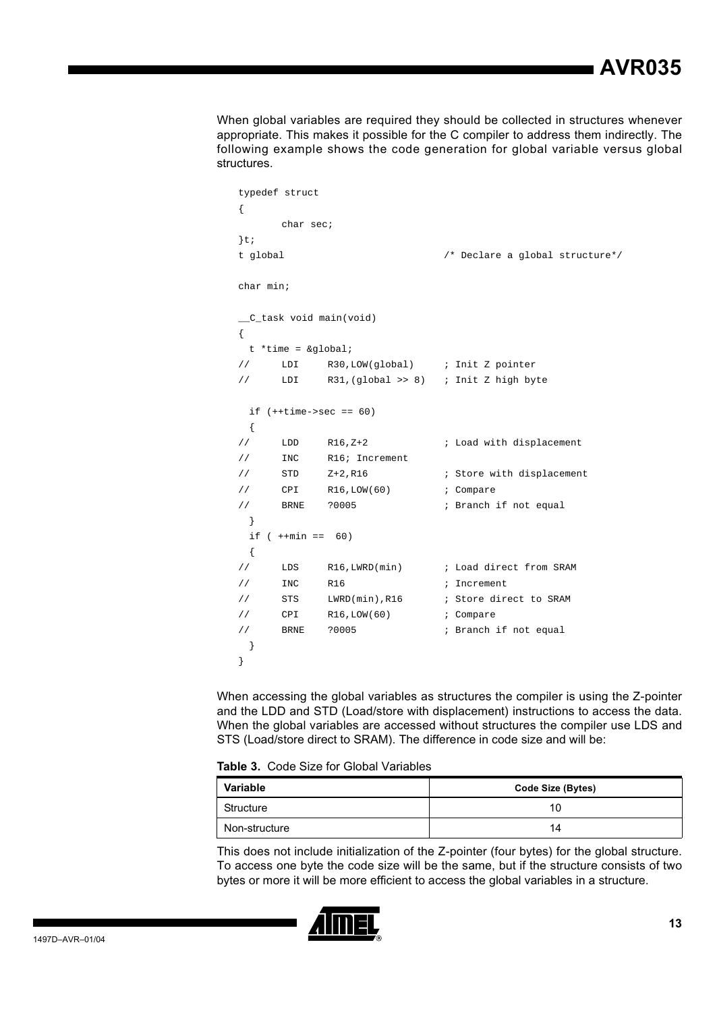When global variables are required they should be collected in structures whenever appropriate. This makes it possible for the C compiler to address them indirectly. The following example shows the code generation for global variable versus global structures.

|               | typedef struct      |                                   |                                          |
|---------------|---------------------|-----------------------------------|------------------------------------------|
| $\{$          |                     |                                   |                                          |
|               | char sec;           |                                   |                                          |
| $\}t$ ;       |                     |                                   |                                          |
| t global      |                     |                                   | /* Declare a global structure*/          |
|               |                     |                                   |                                          |
| char min;     |                     |                                   |                                          |
|               |                     |                                   |                                          |
|               |                     | _C_task void main(void)           |                                          |
| $\{$          |                     |                                   |                                          |
|               | $t$ *time = &global |                                   |                                          |
| $\frac{1}{2}$ | LDI                 | R30, LOW(global) ; Init Z pointer |                                          |
| $\frac{1}{2}$ | LDI                 |                                   | $R31$ , (global >> 8) ; Init Z high byte |
|               |                     |                                   |                                          |
|               |                     | if $(++time->sec == 60)$          |                                          |
| $\{$          |                     |                                   |                                          |
| $\frac{1}{2}$ | LDD                 | $R16, Z+2$                        | ; Load with displacement                 |
| $\frac{1}{2}$ | <b>INC</b>          | R16; Increment                    |                                          |
| $\frac{1}{2}$ | STD                 | Z+2,R16                           | ; Store with displacement                |
| $\frac{1}{2}$ | CPI                 | R16,LOW(60)                       | ; Compare                                |
| $\frac{1}{2}$ | BRNE                | ?0005                             | ; Branch if not equal                    |
| $\}$          |                     |                                   |                                          |
|               | if $(++min ==$      | 60)                               |                                          |
| $\{$          |                     |                                   |                                          |
| $\frac{1}{2}$ | LDS                 | R16, LWRD(min)                    | ; Load direct from SRAM                  |
| $\frac{1}{2}$ | INC                 | <b>R16</b>                        | ; Increment                              |
| $\frac{1}{2}$ | STS                 | $LWRD(min)$ , R16                 | ; Store direct to SRAM                   |
| $\frac{1}{2}$ | CPI                 | R16, LOW(60)                      | ; Compare                                |
| $\frac{1}{2}$ | <b>BRNE</b>         | ?0005                             | ; Branch if not equal                    |
| ł             |                     |                                   |                                          |
| ł             |                     |                                   |                                          |

When accessing the global variables as structures the compiler is using the Z-pointer and the LDD and STD (Load/store with displacement) instructions to access the data. When the global variables are accessed without structures the compiler use LDS and STS (Load/store direct to SRAM). The difference in code size and will be:

**Table 3.** Code Size for Global Variables

| <b>Variable</b> | Code Size (Bytes) |
|-----------------|-------------------|
| Structure       | 10                |
| Non-structure   | 14                |

This does not include initialization of the Z-pointer (four bytes) for the global structure. To access one byte the code size will be the same, but if the structure consists of two bytes or more it will be more efficient to access the global variables in a structure.

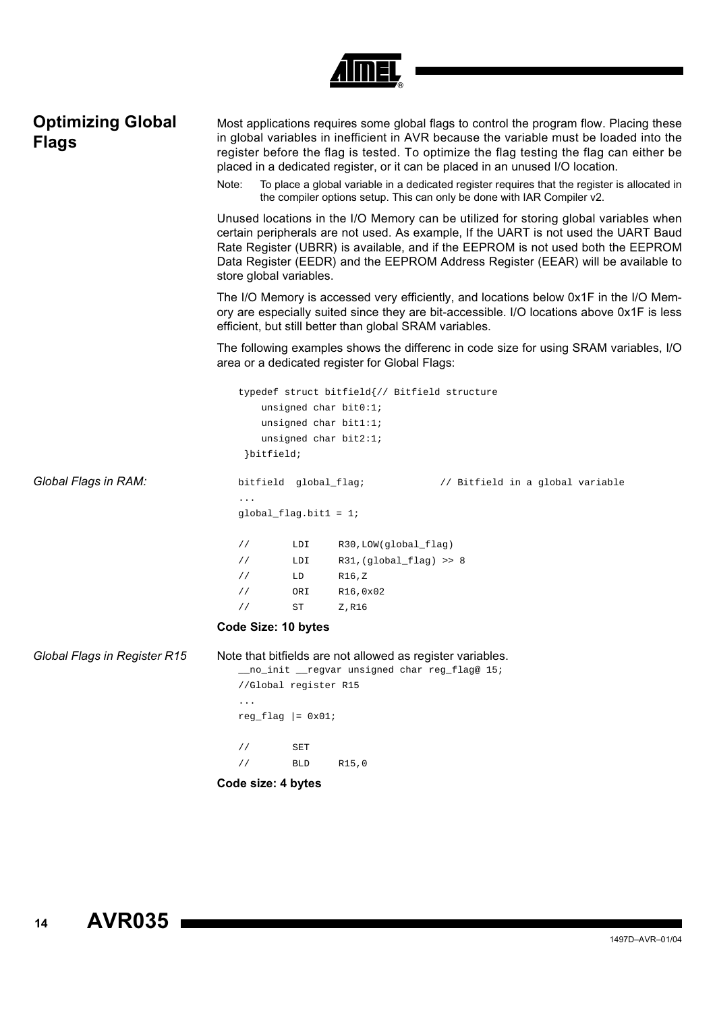| <b>Optimizing Global</b><br><b>Flags</b> | Most applications requires some global flags to control the program flow. Placing these<br>in global variables in inefficient in AVR because the variable must be loaded into the<br>register before the flag is tested. To optimize the flag testing the flag can either be<br>placed in a dedicated register, or it can be placed in an unused I/O location.<br>To place a global variable in a dedicated register requires that the register is allocated in<br>Note:<br>the compiler options setup. This can only be done with IAR Compiler v2. |                                                                                                              |                                                                                                                            |                                                                                                                                                                                    |  |
|------------------------------------------|-----------------------------------------------------------------------------------------------------------------------------------------------------------------------------------------------------------------------------------------------------------------------------------------------------------------------------------------------------------------------------------------------------------------------------------------------------------------------------------------------------------------------------------------------------|--------------------------------------------------------------------------------------------------------------|----------------------------------------------------------------------------------------------------------------------------|------------------------------------------------------------------------------------------------------------------------------------------------------------------------------------|--|
|                                          | Unused locations in the I/O Memory can be utilized for storing global variables when<br>certain peripherals are not used. As example, If the UART is not used the UART Baud<br>Rate Register (UBRR) is available, and if the EEPROM is not used both the EEPROM<br>Data Register (EEDR) and the EEPROM Address Register (EEAR) will be available to<br>store global variables.                                                                                                                                                                      |                                                                                                              |                                                                                                                            |                                                                                                                                                                                    |  |
|                                          |                                                                                                                                                                                                                                                                                                                                                                                                                                                                                                                                                     |                                                                                                              | efficient, but still better than global SRAM variables.                                                                    | The I/O Memory is accessed very efficiently, and locations below 0x1F in the I/O Mem-<br>ory are especially suited since they are bit-accessible. I/O locations above 0x1F is less |  |
|                                          | The following examples shows the differenc in code size for using SRAM variables, I/O<br>area or a dedicated register for Global Flags:                                                                                                                                                                                                                                                                                                                                                                                                             |                                                                                                              |                                                                                                                            |                                                                                                                                                                                    |  |
|                                          | bitfield;                                                                                                                                                                                                                                                                                                                                                                                                                                                                                                                                           |                                                                                                              | typedef struct bitfield{// Bitfield structure<br>unsigned char bit0:1;<br>unsigned char bit1:1;<br>unsigned char $bit2:17$ |                                                                                                                                                                                    |  |
| Global Flags in RAM:                     | bitfield global_flag;                                                                                                                                                                                                                                                                                                                                                                                                                                                                                                                               |                                                                                                              |                                                                                                                            | // Bitfield in a global variable                                                                                                                                                   |  |
|                                          | $global_f$ lag.bit $1 = 1$ ;                                                                                                                                                                                                                                                                                                                                                                                                                                                                                                                        |                                                                                                              |                                                                                                                            |                                                                                                                                                                                    |  |
|                                          | $\frac{1}{2}$                                                                                                                                                                                                                                                                                                                                                                                                                                                                                                                                       | LDI                                                                                                          | R30, LOW(global_flag)                                                                                                      |                                                                                                                                                                                    |  |
|                                          | $\frac{1}{2}$                                                                                                                                                                                                                                                                                                                                                                                                                                                                                                                                       | LDI                                                                                                          | $R31, (global_flag) >> 8$                                                                                                  |                                                                                                                                                                                    |  |
|                                          | $\frac{1}{2}$<br>$\frac{1}{2}$                                                                                                                                                                                                                                                                                                                                                                                                                                                                                                                      | LD<br>ORI                                                                                                    | R16,Z<br>R16,0x02                                                                                                          |                                                                                                                                                                                    |  |
|                                          | $\frac{1}{2}$                                                                                                                                                                                                                                                                                                                                                                                                                                                                                                                                       | ST                                                                                                           | Z,R16                                                                                                                      |                                                                                                                                                                                    |  |
|                                          | Code Size: 10 bytes                                                                                                                                                                                                                                                                                                                                                                                                                                                                                                                                 |                                                                                                              |                                                                                                                            |                                                                                                                                                                                    |  |
| Global Flags in Register R15             |                                                                                                                                                                                                                                                                                                                                                                                                                                                                                                                                                     | Note that bitfields are not allowed as register variables.<br>__no_init __regvar unsigned char reg_flag@ 15; |                                                                                                                            |                                                                                                                                                                                    |  |
|                                          | //Global register R15                                                                                                                                                                                                                                                                                                                                                                                                                                                                                                                               |                                                                                                              |                                                                                                                            |                                                                                                                                                                                    |  |
|                                          | $\ldots$ .<br>$reg_flag$ = $0x01$ ;                                                                                                                                                                                                                                                                                                                                                                                                                                                                                                                 |                                                                                                              |                                                                                                                            |                                                                                                                                                                                    |  |
|                                          |                                                                                                                                                                                                                                                                                                                                                                                                                                                                                                                                                     |                                                                                                              |                                                                                                                            |                                                                                                                                                                                    |  |
|                                          | $\frac{1}{2}$<br>$\sqrt{}$                                                                                                                                                                                                                                                                                                                                                                                                                                                                                                                          | SET<br><b>BLD</b>                                                                                            |                                                                                                                            |                                                                                                                                                                                    |  |
|                                          |                                                                                                                                                                                                                                                                                                                                                                                                                                                                                                                                                     |                                                                                                              | R15,0                                                                                                                      |                                                                                                                                                                                    |  |
|                                          | Code size: 4 bytes                                                                                                                                                                                                                                                                                                                                                                                                                                                                                                                                  |                                                                                                              |                                                                                                                            |                                                                                                                                                                                    |  |

*Amer*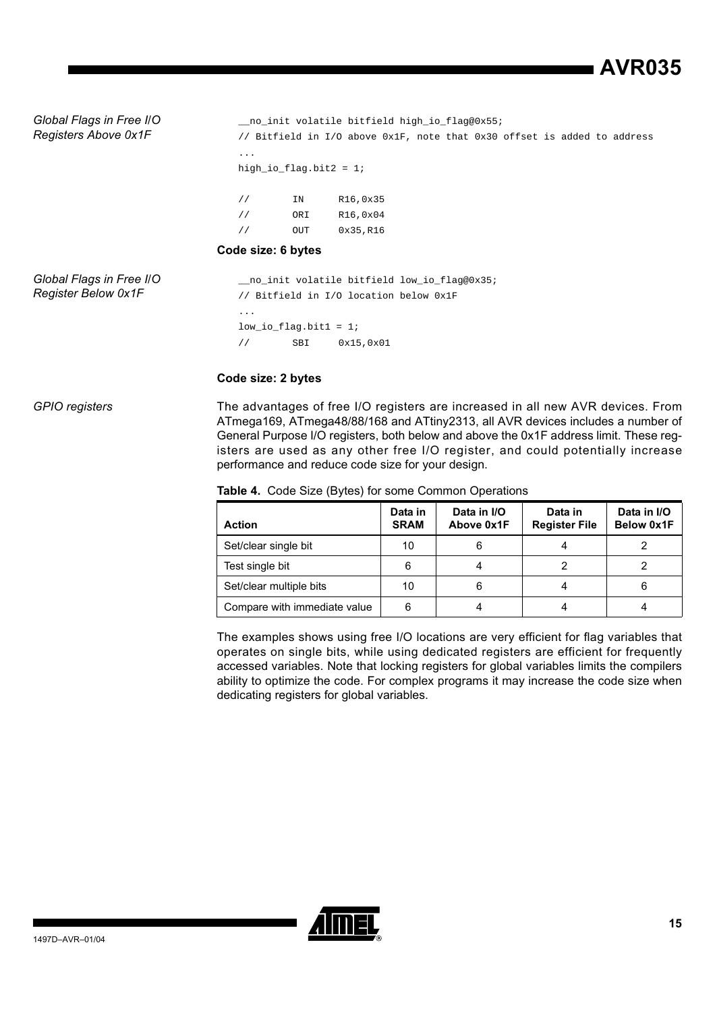**AVR035**

*Global Flags in Free I/O Registers Above 0x1F*

\_\_no\_init volatile bitfield high\_io\_flag@0x55; // Bitfield in I/O above 0x1F, note that 0x30 offset is added to address ... high\_io\_flag.bit2 = 1; // IN R16,0x35 // ORI R16,0x04

// OUT 0x35,R16

#### **Code size: 6 bytes**

*Global Flags in Free I/O Register Below 0x1F*

\_\_no\_init volatile bitfield low\_io\_flag@0x35; // Bitfield in I/O location below 0x1F ... low\_io\_flag.bit1 = 1; // SBI 0x15,0x01

### **Code size: 2 bytes**

*GPIO registers* The advantages of free I/O registers are increased in all new AVR devices. From ATmega169, ATmega48/88/168 and ATtiny2313, all AVR devices includes a number of General Purpose I/O registers, both below and above the 0x1F address limit. These registers are used as any other free I/O register, and could potentially increase performance and reduce code size for your design.

|  |  |  | Table 4. Code Size (Bytes) for some Common Operations |
|--|--|--|-------------------------------------------------------|
|--|--|--|-------------------------------------------------------|

| <b>Action</b>                | Data in<br><b>SRAM</b> | Data in I/O<br>Above 0x1F | Data in<br><b>Register File</b> | Data in I/O<br>Below 0x1F |
|------------------------------|------------------------|---------------------------|---------------------------------|---------------------------|
| Set/clear single bit         | 10                     | 6                         |                                 |                           |
| Test single bit              | 6                      |                           |                                 |                           |
| Set/clear multiple bits      | 10                     | 6                         | 4                               | 6                         |
| Compare with immediate value | 6                      |                           |                                 |                           |

The examples shows using free I/O locations are very efficient for flag variables that operates on single bits, while using dedicated registers are efficient for frequently accessed variables. Note that locking registers for global variables limits the compilers ability to optimize the code. For complex programs it may increase the code size when dedicating registers for global variables.

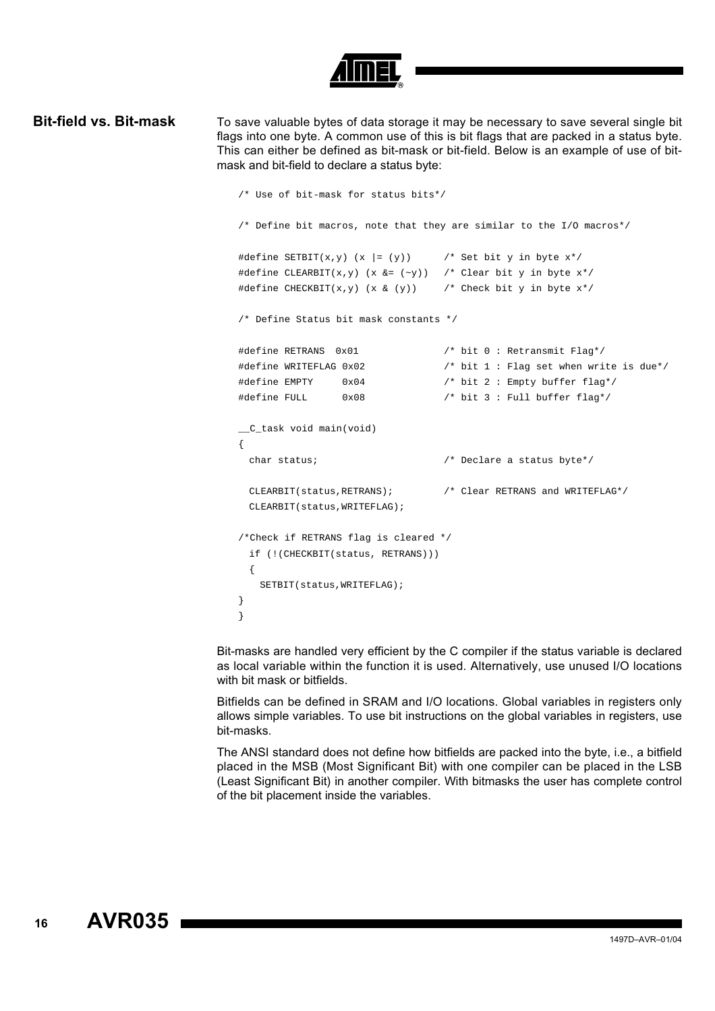**Bit-field vs. Bit-mask** To save valuable bytes of data storage it may be necessary to save several single bit flags into one byte. A common use of this is bit flags that are packed in a status byte. This can either be defined as bit-mask or bit-field. Below is an example of use of bitmask and bit-field to declare a status byte:

```
/* Use of bit-mask for status bits*/
/* Define bit macros, note that they are similar to the I/O macros*/
#define SETBIT(x,y) (x |= (y)) \qquad /* Set bit y in byte x*/
#define CLEARBIT(x, y) (x &= (~y)) /* Clear bit y in byte x*/#define CHECKBIT(x,y) (x & (y)) \qquad /* Check bit y in byte x*/
/* Define Status bit mask constants */
#define RETRANS 0x01 /* bit 0 : Retransmit Flag*/
#define WRITEFLAG 0x02 /* bit 1 : Flag set when write is due*/
#define EMPTY 0x04 /* bit 2 : Empty buffer flag*/
#define FULL 0x08 /* bit 3 : Full buffer flag*/
__C_task void main(void)
{
 char status; /* Declare a status byte*/
 CLEARBIT(status,RETRANS); /* Clear RETRANS and WRITEFLAG*/
 CLEARBIT(status,WRITEFLAG);
/*Check if RETRANS flag is cleared */
 if (!(CHECKBIT(status, RETRANS)))
 {
   SETBIT(status, WRITEFLAG);
}
}
```
Bit-masks are handled very efficient by the C compiler if the status variable is declared as local variable within the function it is used. Alternatively, use unused I/O locations with bit mask or bitfields.

Bitfields can be defined in SRAM and I/O locations. Global variables in registers only allows simple variables. To use bit instructions on the global variables in registers, use bit-masks.

The ANSI standard does not define how bitfields are packed into the byte, i.e., a bitfield placed in the MSB (Most Significant Bit) with one compiler can be placed in the LSB (Least Significant Bit) in another compiler. With bitmasks the user has complete control of the bit placement inside the variables.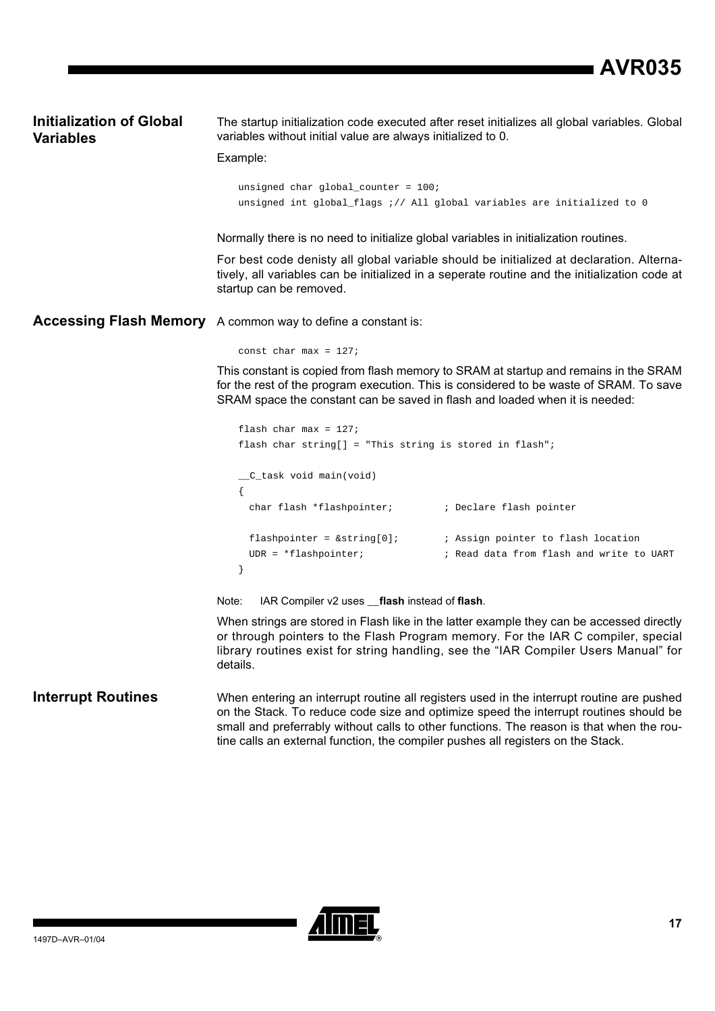### **Initialization of Global Variables**

The startup initialization code executed after reset initializes all global variables. Global variables without initial value are always initialized to 0.

#### Example:

unsigned char global\_counter = 100; unsigned int global\_flags ;// All global variables are initialized to 0

Normally there is no need to initialize global variables in initialization routines.

For best code denisty all global variable should be initialized at declaration. Alternatively, all variables can be initialized in a seperate routine and the initialization code at startup can be removed.

**Accessing Flash Memory** A common way to define a constant is:

const char max =  $127$ ;

This constant is copied from flash memory to SRAM at startup and remains in the SRAM for the rest of the program execution. This is considered to be waste of SRAM. To save SRAM space the constant can be saved in flash and loaded when it is needed:

```
flash char max = 127; 
flash char string[] = "This string is stored in flash";
__C_task void main(void)
{
 char flash *flashpointer; ; ; Declare flash pointer
 flashpointer = \&string[0]; <br> ; Assign pointer to flash location
 UDR = *flashpointer; ; Read data from flash and write to UART
}
```
Note: IAR Compiler v2 uses **\_\_flash** instead of **flash**.

When strings are stored in Flash like in the latter example they can be accessed directly or through pointers to the Flash Program memory. For the IAR C compiler, special library routines exist for string handling, see the "IAR Compiler Users Manual" for details.

#### **Interrupt Routines** When entering an interrupt routine all registers used in the interrupt routine are pushed on the Stack. To reduce code size and optimize speed the interrupt routines should be small and preferrably without calls to other functions. The reason is that when the routine calls an external function, the compiler pushes all registers on the Stack.

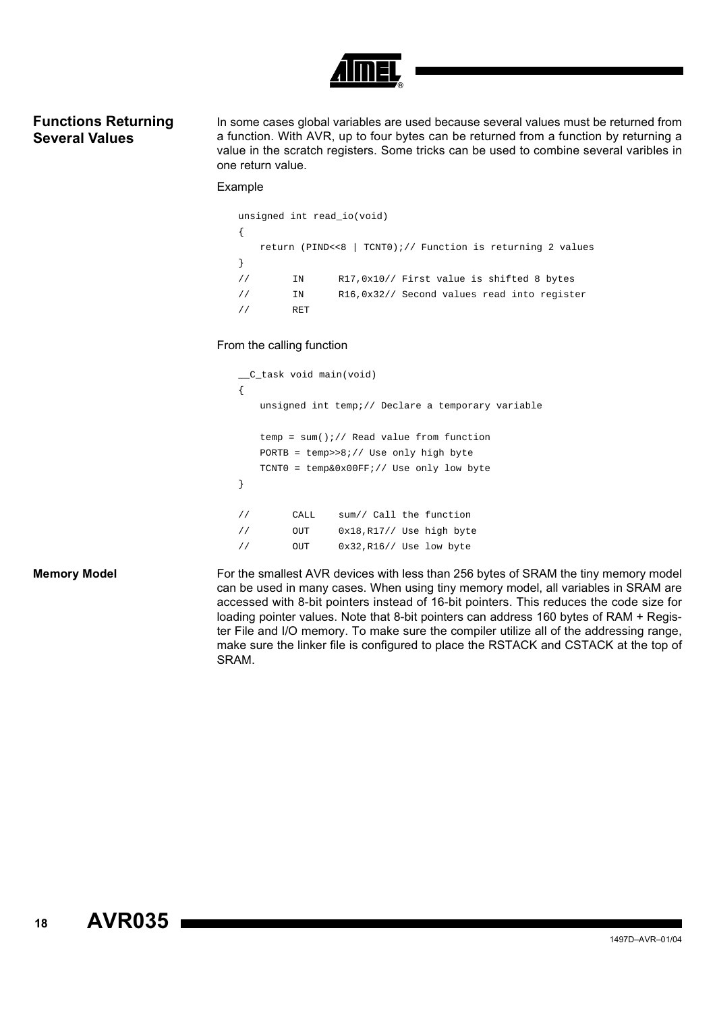### **Functions Returning Several Values**

In some cases global variables are used because several values must be returned from a function. With AVR, up to four bytes can be returned from a function by returning a value in the scratch registers. Some tricks can be used to combine several varibles in one return value.

#### Example

```
unsigned int read_io(void)
{
   return (PIND<<8 | TCNT0);// Function is returning 2 values
}
// IN R17,0x10// First value is shifted 8 bytes
// IN R16,0x32// Second values read into register
// RET
```
#### From the calling function

```
__C_task void main(void)
{
   unsigned int temp;// Declare a temporary variable
   temp = sum();// Read value from function
   PORTB = temp>>8;// Use only high byte
   TCNT0 = temp&0x00FF;// Use only low byte
}
// CALL sum// Call the function
// OUT 0x18,R17// Use high byte
// OUT 0x32,R16// Use low byte
```
**Memory Model** For the smallest AVR devices with less than 256 bytes of SRAM the tiny memory model can be used in many cases. When using tiny memory model, all variables in SRAM are accessed with 8-bit pointers instead of 16-bit pointers. This reduces the code size for loading pointer values. Note that 8-bit pointers can address 160 bytes of RAM + Register File and I/O memory. To make sure the compiler utilize all of the addressing range, make sure the linker file is configured to place the RSTACK and CSTACK at the top of SRAM.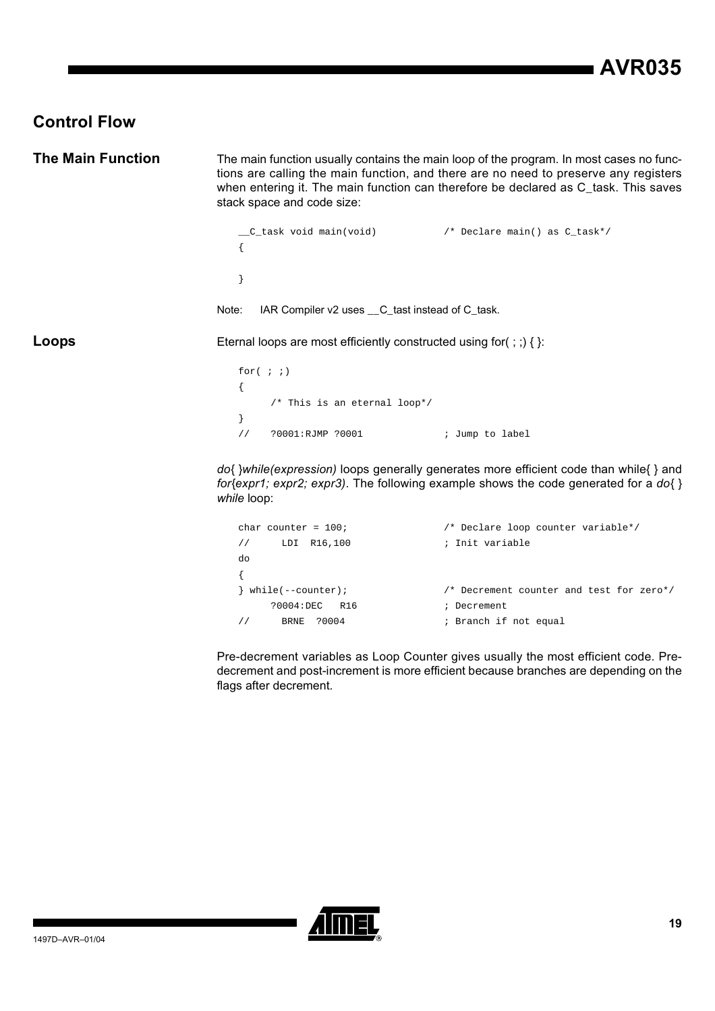## **Control Flow**

**The Main Function** The main function usually contains the main loop of the program. In most cases no functions are calling the main function, and there are no need to preserve any registers when entering it. The main function can therefore be declared as C\_task. This saves stack space and code size: \_\_C\_task void main(void) /\* Declare main() as C\_task\*/ { } Note: IAR Compiler v2 uses \_\_C\_tast instead of C\_task. **Loops** Eternal loops are most efficiently constructed using for(;;) { }: for(  $;$  ;) { /\* This is an eternal loop\*/ } // ?0001:RJMP ?0001 ; Jump to label *do{ }while(expression)* loops generally generates more efficient code than while{ } and *for{expr1; expr2; expr3)*. The following example shows the code generated for a *do{ } while* loop: char counter = 100; /\* Declare loop counter variable\*/ // LDI R16,100 **;** Init variable do { } while(--counter); /\* Decrement counter and test for zero\*/

> ?0004:DEC R16 ; Decrement // BRNE ?0004 ; Branch if not equal

Pre-decrement variables as Loop Counter gives usually the most efficient code. Predecrement and post-increment is more efficient because branches are depending on the flags after decrement.

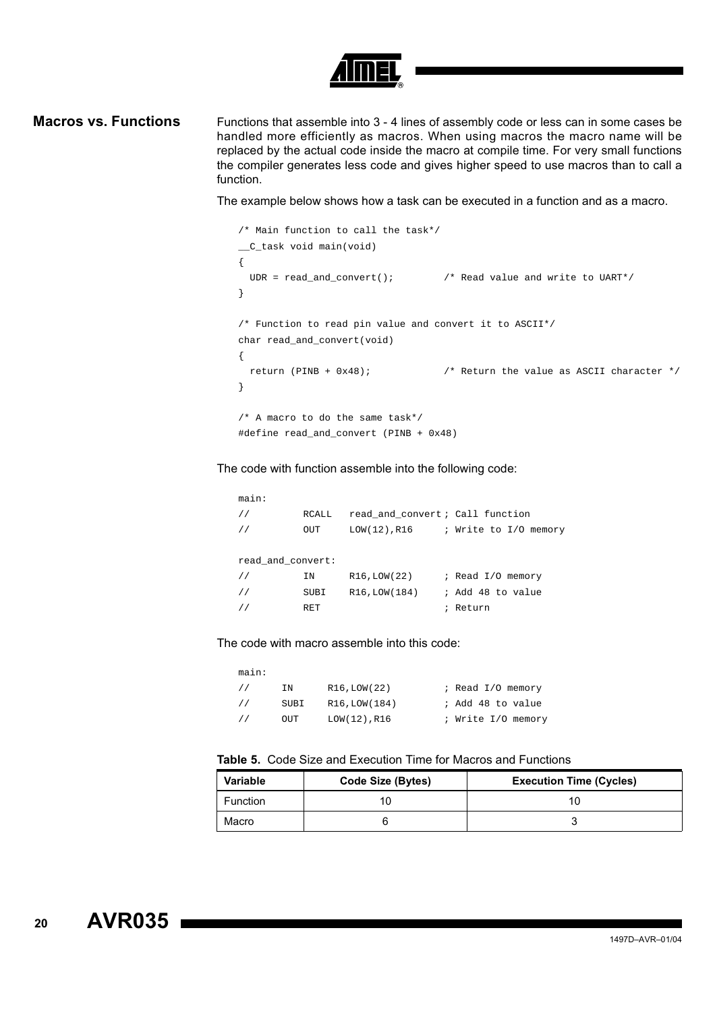

**Macros vs. Functions** Functions that assemble into 3 - 4 lines of assembly code or less can in some cases be handled more efficiently as macros. When using macros the macro name will be replaced by the actual code inside the macro at compile time. For very small functions the compiler generates less code and gives higher speed to use macros than to call a function.

The example below shows how a task can be executed in a function and as a macro.

```
/* Main function to call the task*/
__C_task void main(void)
{
  UDR = read_and_convert(); /* Read value and write to UART*/
}
/* Function to read pin value and convert it to ASCII*/
char read_and_convert(void) 
{
 return (PINB + 0x48); \qquad /* Return the value as ASCII character */
}
/* A macro to do the same task*/
#define read_and_convert (PINB + 0x48)
```
The code with function assemble into the following code:

main: // RCALL read\_and\_convert ; Call function // OUT LOW(12),R16 ; Write to I/O memory read\_and\_convert: // IN R16, LOW(22) ; Read I/O memory // SUBI R16,LOW(184) ; Add 48 to value // RET RET <br>
Return

The code with macro assemble into this code:

| main:          |      |                 |                    |
|----------------|------|-----------------|--------------------|
| $\prime\prime$ | ΙN   | R16, LOW(22)    | ; Read I/O memory  |
| $\frac{1}{2}$  | SUBI | R16, LOW(184)   | ; Add 48 to value  |
| $\prime\prime$ | OUT  | $LOW(12)$ , R16 | ; Write I/O memory |

#### **Table 5.** Code Size and Execution Time for Macros and Functions

| <b>Variable</b> | Code Size (Bytes) | <b>Execution Time (Cycles)</b> |
|-----------------|-------------------|--------------------------------|
| Function        |                   |                                |
| Macro           |                   |                                |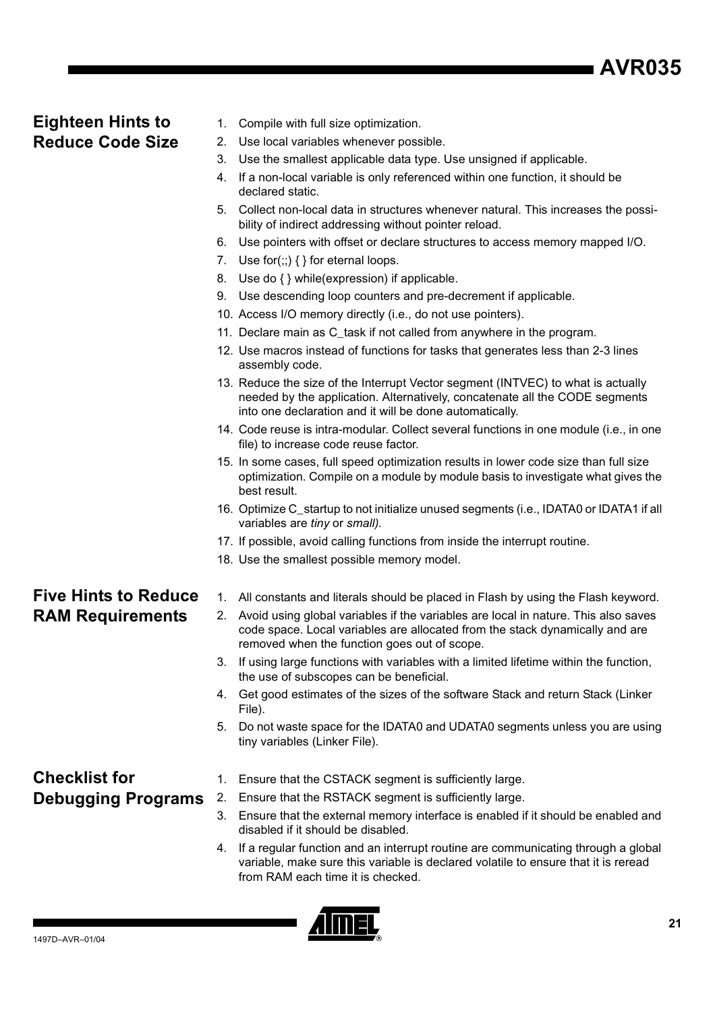## **Eighteen Hints to Reduce Code Size**

- 1. Compile with full size optimization.
- 2. Use local variables whenever possible.
- 3. Use the smallest applicable data type. Use unsigned if applicable.
- 4. If a non-local variable is only referenced within one function, it should be declared static.
- 5. Collect non-local data in structures whenever natural. This increases the possibility of indirect addressing without pointer reload.
- 6. Use pointers with offset or declare structures to access memory mapped I/O.
- 7. Use for $(:;){}$  { } for eternal loops.
- 8. Use do { } while(expression) if applicable.
- 9. Use descending loop counters and pre-decrement if applicable.
- 10. Access I/O memory directly (i.e., do not use pointers).
- 11. Declare main as C\_task if not called from anywhere in the program.
- 12. Use macros instead of functions for tasks that generates less than 2-3 lines assembly code.
- 13. Reduce the size of the Interrupt Vector segment (INTVEC) to what is actually needed by the application. Alternatively, concatenate all the CODE segments into one declaration and it will be done automatically.
- 14. Code reuse is intra-modular. Collect several functions in one module (i.e., in one file) to increase code reuse factor.
- 15. In some cases, full speed optimization results in lower code size than full size optimization. Compile on a module by module basis to investigate what gives the best result.
- 16. Optimize C\_startup to not initialize unused segments (i.e., IDATA0 or IDATA1 if all variables are *tiny* or *small).*
- 17. If possible, avoid calling functions from inside the interrupt routine.
- 18. Use the smallest possible memory model.

## **Five Hints to Reduce RAM Requirements**

- 1. All constants and literals should be placed in Flash by using the Flash keyword.
- 2. Avoid using global variables if the variables are local in nature. This also saves code space. Local variables are allocated from the stack dynamically and are removed when the function goes out of scope.
- 3. If using large functions with variables with a limited lifetime within the function, the use of subscopes can be beneficial.
- 4. Get good estimates of the sizes of the software Stack and return Stack (Linker File).
- 5. Do not waste space for the IDATA0 and UDATA0 segments unless you are using tiny variables (Linker File).

## **Checklist for Debugging Programs**

- 1. Ensure that the CSTACK segment is sufficiently large.
- 2. Ensure that the RSTACK segment is sufficiently large.
	- 3. Ensure that the external memory interface is enabled if it should be enabled and disabled if it should be disabled.
- 4. If a regular function and an interrupt routine are communicating through a global variable, make sure this variable is declared volatile to ensure that it is reread from RAM each time it is checked.